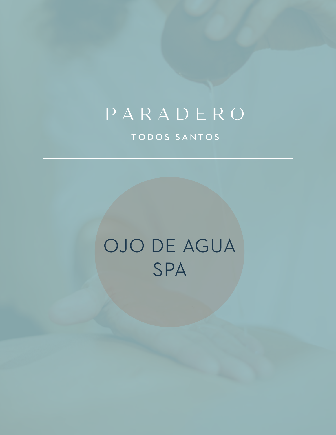## PARADERO

TODOS SANTOS

# OJO DE AGUA SPA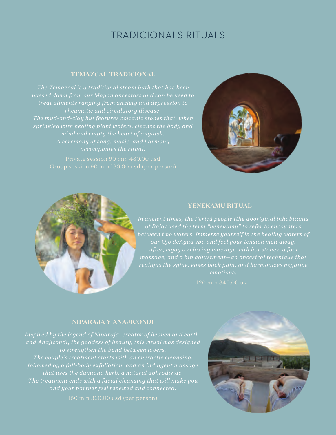## TRADICIONALS RITUALS

### **TEMAZCAL TRADICIONAL**

*treat ailments ranging from anxiety and depression to The mud-and-clay hut features volcanic stones that, when sprinkled with healing plant waters, cleanse the body and mind and empty the heart of anguish. accompanies the ritual.*

Group session 90 min 130.00 usd (per person)





### **YENEKAMU RITUAL**

*In ancient times, the Pericú people (the aboriginal inhabitants of Baja) used the term "yenekamu" to refer to encounters our Ojo deAgua spa and feel your tension melt away. After, enjoy a relaxing massage with hot stones, a foot massage, and a hip adjustment—an ancestral technique that realigns the spine, eases back pain, and harmonizes negative emotions.*

120 min 340.00 usd

### **NIPARAJA Y ANAJICONDI**

*Inspired by the legend of Niparaja, creator of heaven and earth, and Anajicondi, the goddess of beauty, this ritual was designed to strengthen the bond between lovers. The couple's treatment starts with an energetic cleansing, followed by a full-body exfoliation, and an indulgent massage that uses the damiana herb, a natural aphrodisiac.* 

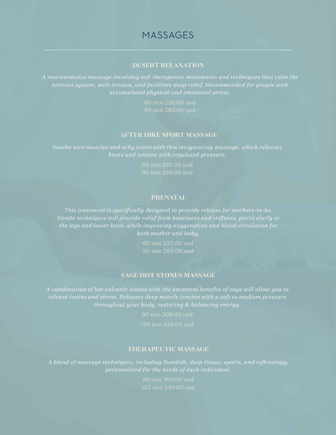### MASSAGES

### **DESERT RELAXATION**

*A neurosedative massage involving soft therapeutic movements and techniques that calm the nervous system, melt tension, and facilitate deep relief. Recommended for people with accumulated physical and emotional stress.*

90 min 280.00 usd

#### **AFTER HIKE SPORT MASSAGE**

*Soothe sore muscles and achy joints with this invigorating massage, which releases knots and tension with regulated pressure.*

> 60 min 230.00 usd 90 min 280.00 usd

### **PRENATAL**

*This treatment is specifically designed to provide release for mothers-to-be. Gentle techniques will provide relief from heaviness and stiffness, particularly in the legs and lower back, while improving oxygenation and blood circulation for both mother and baby.*

> 60 min 230.00 usd 90 min 280.00 usd

#### **SAGE HOT STONES MASSAGE**

*A combination of hot volcanic stones with the ancestral benefits of sage will allow you to release toxins and stress. Releases deep muscle tension with a soft to medium pressure throughout your body, restoring & balancing energy.*

### **THERAPEUTIC MASSAGE**

*A blend of massage techniques, including Swedish, deep tissue, sports, and reflexology,* 

120 min 349.00 usd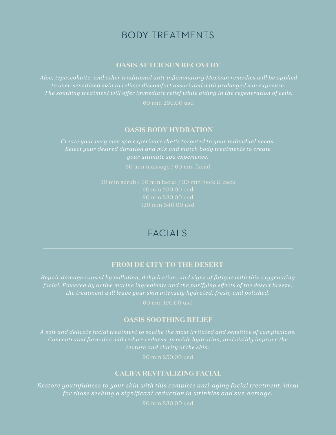### BODY TREATMENTS

### **OASIS AFTER SUN RECOVERY**

*Aloe, tepezcohuite, and other traditional anti-inflammatory Mexican remedies will be applied to over-sensitized skin to relieve discomfort associated with prolonged sun exposure. The soothing treatment will offer immediate relief while aiding in the regeneration of cells.*

60 min 230.00 usd

### **OASIS BODY HYDRATION**

*Select your desired duration and mix and match body treatments to create* 

### FACIAL<sub>S</sub>

### **FROM DE CITY TO THE DESERT**

*facial. Powered by active marine ingredients and the purifying effects of the desert breeze,* 

60 min 190.00 usd

### **OASIS SOOTHING RELIEF**

90 min 250.00 usd

### **CALIFA REVITALIZING FACIAL**

*Restore youthfulness to your skin with this complete anti-aging facial treatment, ideal for those seeking a significant reduction in wrinkles and sun damage.*

90 min 280.00 usd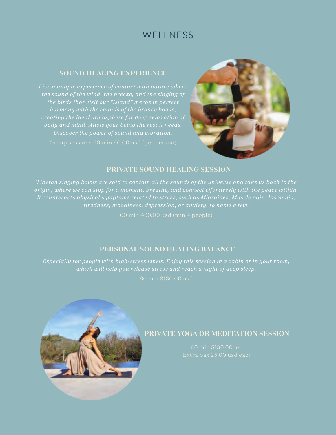### **WELLNESS**

### **SOUND HEALING EXPERIENCE**

*Live a unique experience of contact with nature where the sound of the wind, the breeze, and the singing of harmony with the sounds of the bronze bowls,* 



### **PRIVATE SOUND HEALING SESSION**

*Tibetan singing bowls are said to contain all the sounds of the universe and take us back to the origin, where we can stop for a moment, breathe, and connect effortlessly with the peace within. tiredness, moodiness, depression, or anxiety, to name a few.*

### **PERSONAL SOUND HEALING BALANCE**

*Especially for people with high-stress levels. Enjoy this session in a cabin or in your room, which will help you release stress and reach a night of deep sleep.*



### **PRIVATE YOGA OR MEDITATION SESSION**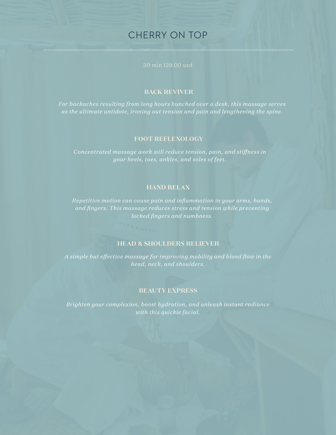### CHERRY ON TOP

30 min 129.00 usd

### **BACK REVIVER**

*For backaches resulting from long hours hunched over a desk, this massage serves as the ultimate antidote, ironing out tension and pain and lengthening the spine.* 

### **FOOT REFLEXOLOGY**

*Concentrated massage work will reduce tension, pain, and stiffness in your heels, toes, ankles, and soles of feet.*

### **HAND RELAX**

*and fingers. This massage reduces stress and tension while preventing* 

### **HEAD & SHOULDERS RELIEVER**

*A simple but effective massage for improving mobility and blood flow in the* 

### **BEAUTY EXPRESS**

*Brighten your complexion, boost hydration, and unleash instant radiance with this quickie facial.*